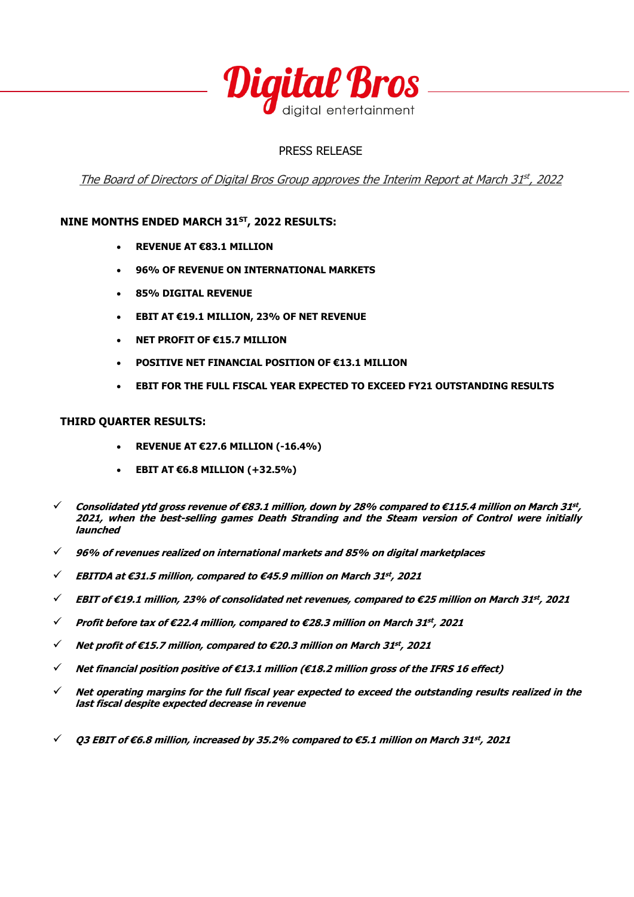

## PRESS RELEASE

The Board of Directors of Digital Bros Group approves the Interim Report at March 31st, 2022

## **NINE MONTHS ENDED MARCH 31ST, 2022 RESULTS:**

- **REVENUE AT €83.1 MILLION**
- **96% OF REVENUE ON INTERNATIONAL MARKETS**
- **85% DIGITAL REVENUE**
- **EBIT AT €19.1 MILLION, 23% OF NET REVENUE**
- **NET PROFIT OF €15.7 MILLION**
- **POSITIVE NET FINANCIAL POSITION OF €13.1 MILLION**
- **EBIT FOR THE FULL FISCAL YEAR EXPECTED TO EXCEED FY21 OUTSTANDING RESULTS**

### **THIRD QUARTER RESULTS:**

- **REVENUE AT €27.6 MILLION (-16.4%)**
- **EBIT AT €6.8 MILLION (+32.5%)**
- ✓ **Consolidated ytd gross revenue of €83.1 million, down by 28% compared to €115.4 million on March 31 st , 2021, when the best-selling games Death Stranding and the Steam version of Control were initially launched**
- ✓ **96% of revenues realized on international markets and 85% on digital marketplaces**
- ✓ **EBITDA at €31.5 million, compared to €45.9 million on March 31 st , 2021**
- ✓ **EBIT of €19.1 million, 23% of consolidated net revenues, compared to €25 million on March 31 st , 2021**
- ✓ **Profit before tax of €22.4 million, compared to €28.3 million on March 31 st , 2021**
- ✓ **Net profit of €15.7 million, compared to €20.3 million on March 31 st , 2021**
- ✓ **Net financial position positive of €13.1 million (€18.2 million gross of the IFRS 16 effect)**
- ✓ **Net operating margins for the full fiscal year expected to exceed the outstanding results realized in the last fiscal despite expected decrease in revenue**
- ✓ **Q3 EBIT of €6.8 million, increased by 35.2% compared to €5.1 million on March 31 st , 2021**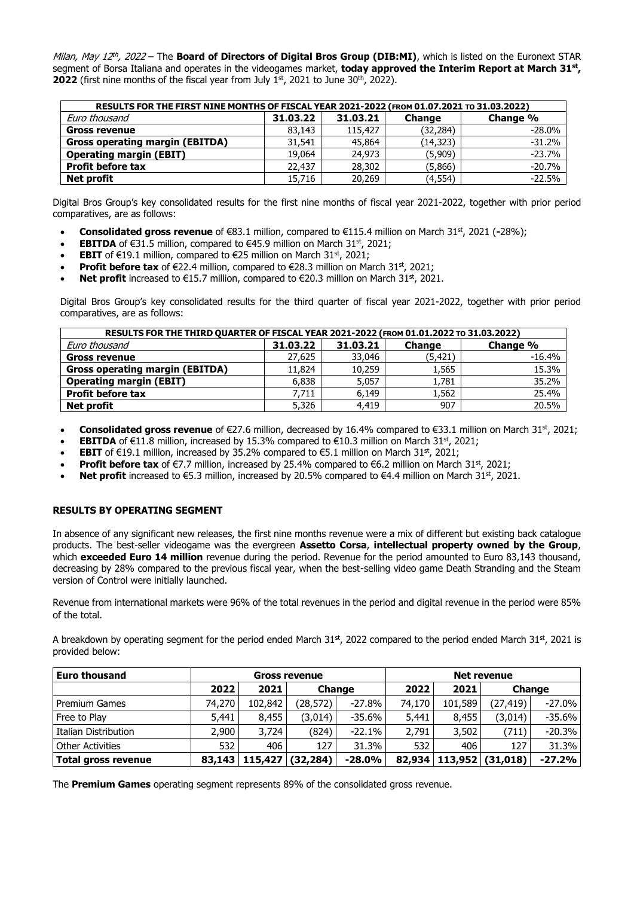Milan, May 12<sup>th</sup>, 2022 – The **Board of Directors of Digital Bros Group (DIB:MI)**, which is listed on the Euronext STAR segment of Borsa Italiana and operates in the videogames market, **today approved the Interim Report at March 31st , 2022** (first nine months of the fiscal year from July 1st, 2021 to June 30<sup>th</sup>, 2022).

| RESULTS FOR THE FIRST NINE MONTHS OF FISCAL YEAR 2021-2022 (FROM 01.07.2021 TO 31.03.2022) |          |          |               |          |  |  |  |  |  |
|--------------------------------------------------------------------------------------------|----------|----------|---------------|----------|--|--|--|--|--|
| Euro thousand                                                                              | 31,03,22 | 31.03.21 | <b>Change</b> | Change % |  |  |  |  |  |
| <b>Gross revenue</b>                                                                       | 83,143   | 115,427  | (32, 284)     | $-28.0%$ |  |  |  |  |  |
| <b>Gross operating margin (EBITDA)</b>                                                     | 31,541   | 45,864   | (14, 323)     | $-31.2%$ |  |  |  |  |  |
| <b>Operating margin (EBIT)</b>                                                             | 19,064   | 24,973   | (5,909)       | $-23.7%$ |  |  |  |  |  |
| <b>Profit before tax</b>                                                                   | 22,437   | 28,302   | (5,866)       | $-20.7%$ |  |  |  |  |  |
| Net profit                                                                                 | 15,716   | 20,269   | (4, 554)      | $-22.5%$ |  |  |  |  |  |

Digital Bros Group's key consolidated results for the first nine months of fiscal year 2021-2022, together with prior period comparatives, are as follows:

- **Consolidated gross revenue** of €83.1 million, compared to €115.4 million on March 31<sup>st</sup>, 2021 (-28%);
- **EBITDA** of  $\epsilon$ 31.5 million, compared to  $\epsilon$ 45.9 million on March 31<sup>st</sup>, 2021;
- **EBIT** of  $\epsilon$ 19.1 million, compared to  $\epsilon$ 25 million on March 31<sup>st</sup>, 2021;
- **Profit before tax** of  $\epsilon$ 22.4 million, compared to  $\epsilon$ 28.3 million on March 31<sup>st</sup>, 2021;
- **Net profit** increased to €15.7 million, compared to €20.3 million on March 31<sup>st</sup>, 2021.

Digital Bros Group's key consolidated results for the third quarter of fiscal year 2021-2022, together with prior period comparatives, are as follows:

| RESULTS FOR THE THIRD QUARTER OF FISCAL YEAR 2021-2022 (FROM 01.01.2022 TO 31.03.2022) |          |          |               |          |  |  |  |  |  |
|----------------------------------------------------------------------------------------|----------|----------|---------------|----------|--|--|--|--|--|
| Euro thousand                                                                          | 31,03,22 | 31.03.21 | <b>Change</b> | Change % |  |  |  |  |  |
| <b>Gross revenue</b>                                                                   | 27,625   | 33,046   | (5, 421)      | $-16.4%$ |  |  |  |  |  |
| <b>Gross operating margin (EBITDA)</b>                                                 | 11,824   | 10,259   | 1,565         | 15.3%    |  |  |  |  |  |
| <b>Operating margin (EBIT)</b>                                                         | 6,838    | 5,057    | 1,781         | 35.2%    |  |  |  |  |  |
| <b>Profit before tax</b>                                                               | 7,711    | 6.149    | 1,562         | 25.4%    |  |  |  |  |  |
| Net profit                                                                             | 5,326    | 4,419    | 907           | 20.5%    |  |  |  |  |  |

- **Consolidated gross revenue** of €27.6 million, decreased by 16.4% compared to €33.1 million on March 31<sup>st</sup>, 2021;
- **EBITDA** of  $\in$ 11.8 million, increased by 15.3% compared to  $\in$ 10.3 million on March 31<sup>st</sup>, 2021;
- **EBIT** of  $\epsilon$ 19.1 million, increased by 35.2% compared to  $\epsilon$ 5.1 million on March 31<sup>st</sup>, 2021;
- **Profit before tax** of  $\epsilon$ 7.7 million, increased by 25.4% compared to  $\epsilon$ 6.2 million on March 31<sup>st</sup>, 2021;
- **Net profit** increased to  $\epsilon$ 5.3 million, increased by 20.5% compared to  $\epsilon$ 4.4 million on March 31<sup>st</sup>, 2021.

#### **RESULTS BY OPERATING SEGMENT**

In absence of any significant new releases, the first nine months revenue were a mix of different but existing back catalogue products. The best-seller videogame was the evergreen **Assetto Corsa**, **intellectual property owned by the Group**, which **exceeded Euro 14 million** revenue during the period. Revenue for the period amounted to Euro 83,143 thousand, decreasing by 28% compared to the previous fiscal year, when the best-selling video game Death Stranding and the Steam version of Control were initially launched.

Revenue from international markets were 96% of the total revenues in the period and digital revenue in the period were 85% of the total.

A breakdown by operating segment for the period ended March 31st, 2022 compared to the period ended March 31st, 2021 is provided below:

| <b>Euro thousand</b>        | <b>Gross revenue</b> |         |               |          | <b>Net revenue</b> |         |                             |           |
|-----------------------------|----------------------|---------|---------------|----------|--------------------|---------|-----------------------------|-----------|
|                             | 2022                 | 2021    | <b>Change</b> |          | 2022               | 2021    | Change                      |           |
| <b>Premium Games</b>        | 74,270               | 102,842 | (28,572)      | -27.8%   | 74,170             | 101,589 | (27,419)                    | $-27.0\%$ |
| Free to Play                | 5,441                | 8,455   | (3,014)       | -35.6%   | 5,441              | 8,455   | (3,014)                     | $-35.6%$  |
| <b>Italian Distribution</b> | 2,900                | 3,724   | (824)         | $-22.1%$ | 2,791              | 3,502   | (711)                       | $-20.3%$  |
| <b>Other Activities</b>     | 532                  | 406     | 127           | 31.3%    | 532                | 406     | 127                         | 31.3%     |
| <b>Total gross revenue</b>  | 83,143               | 115,427 | (32, 284)     | $-28.0%$ |                    |         | 82,934   113,952   (31,018) | $-27.2%$  |

The **Premium Games** operating segment represents 89% of the consolidated gross revenue.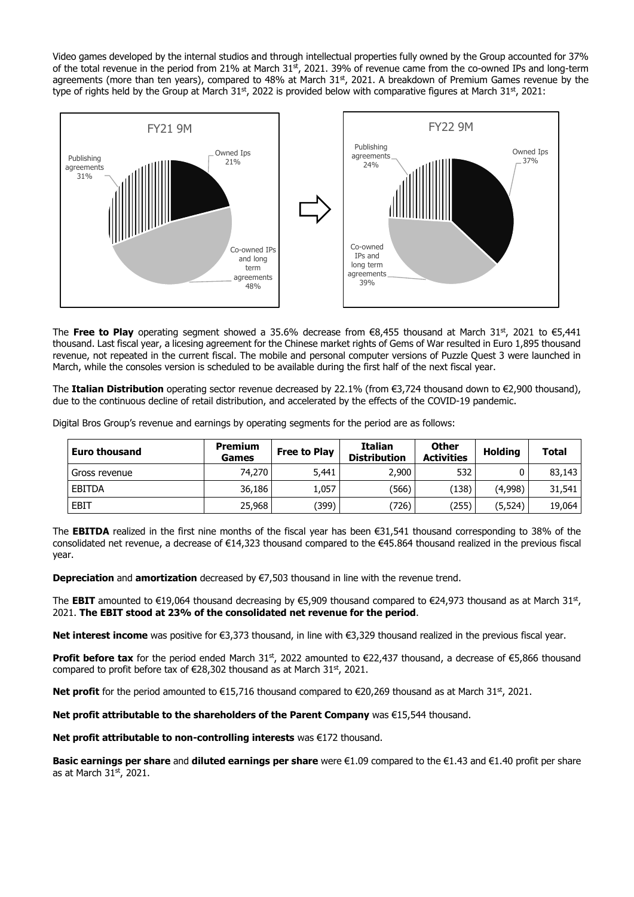Video games developed by the internal studios and through intellectual properties fully owned by the Group accounted for 37% of the total revenue in the period from 21% at March  $31<sup>st</sup>$ , 2021. 39% of revenue came from the co-owned IPs and long-term agreements (more than ten years), compared to 48% at March 31st, 2021. A breakdown of Premium Games revenue by the type of rights held by the Group at March 31st, 2022 is provided below with comparative figures at March 31st, 2021:



The **Free to Play** operating segment showed a 35.6% decrease from €8,455 thousand at March 31<sup>st</sup>, 2021 to €5,441 thousand. Last fiscal year, a licesing agreement for the Chinese market rights of Gems of War resulted in Euro 1,895 thousand revenue, not repeated in the current fiscal. The mobile and personal computer versions of Puzzle Quest 3 were launched in March, while the consoles version is scheduled to be available during the first half of the next fiscal year.

The **Italian Distribution** operating sector revenue decreased by 22.1% (from €3,724 thousand down to €2,900 thousand), due to the continuous decline of retail distribution, and accelerated by the effects of the COVID-19 pandemic.

Digital Bros Group's revenue and earnings by operating segments for the period are as follows:

| <b>Euro thousand</b> | <b>Premium</b><br>Games | <b>Free to Play</b> | <b>Italian</b><br><b>Distribution</b> | <b>Other</b><br><b>Activities</b> | <b>Holding</b> | <b>Total</b> |
|----------------------|-------------------------|---------------------|---------------------------------------|-----------------------------------|----------------|--------------|
| Gross revenue        | 74,270                  | 5,441               | 2,900                                 | 532                               | 0              | 83,143       |
| <b>EBITDA</b>        | 36,186                  | 1,057               | (566)                                 | 138)                              | (4,998)        | 31,541       |
| <b>EBIT</b>          | 25,968                  | (399)               | (726)                                 | (255)                             | (5, 524)       | 19,064       |

The **EBITDA** realized in the first nine months of the fiscal year has been €31,541 thousand corresponding to 38% of the consolidated net revenue, a decrease of €14,323 thousand compared to the €45.864 thousand realized in the previous fiscal year.

**Depreciation** and **amortization** decreased by €7,503 thousand in line with the revenue trend.

The **EBIT** amounted to €19,064 thousand decreasing by €5,909 thousand compared to €24,973 thousand as at March 31st, 2021. **The EBIT stood at 23% of the consolidated net revenue for the period**.

**Net interest income** was positive for €3,373 thousand, in line with €3,329 thousand realized in the previous fiscal year.

**Profit before tax** for the period ended March 31<sup>st</sup>, 2022 amounted to €22,437 thousand, a decrease of €5,866 thousand compared to profit before tax of  $\epsilon$ 28,302 thousand as at March 31<sup>st</sup>, 2021.

**Net profit** for the period amounted to €15,716 thousand compared to €20,269 thousand as at March 31<sup>st</sup>, 2021.

**Net profit attributable to the shareholders of the Parent Company** was €15,544 thousand.

**Net profit attributable to non-controlling interests** was €172 thousand.

**Basic earnings per share** and **diluted earnings per share** were €1.09 compared to the €1.43 and €1.40 profit per share as at March 31st, 2021.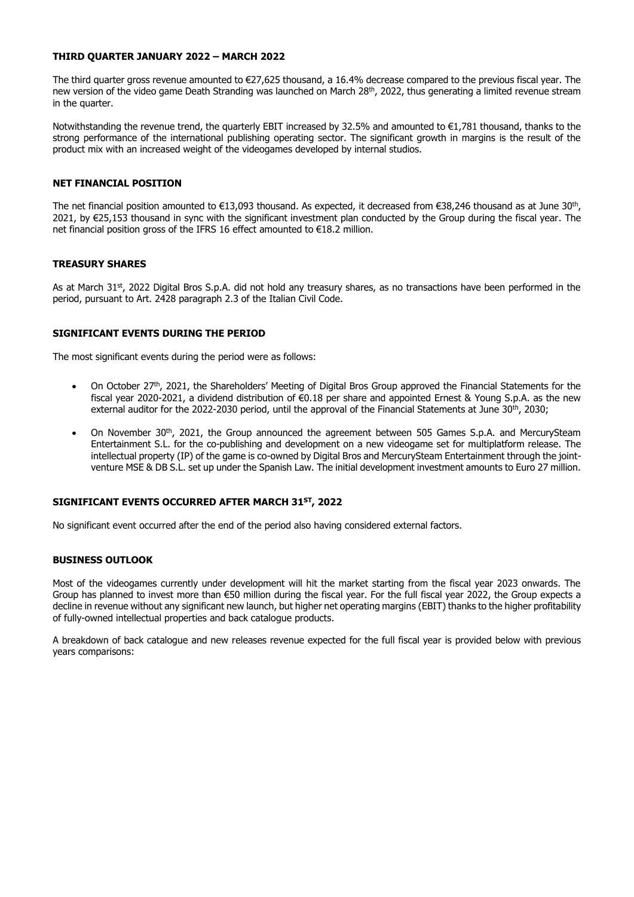#### **THIRD QUARTER JANUARY 2022 – MARCH 2022**

The third quarter gross revenue amounted to €27,625 thousand, a 16.4% decrease compared to the previous fiscal year. The new version of the video game Death Stranding was launched on March 28<sup>th</sup>, 2022, thus generating a limited revenue stream in the quarter.

Notwithstanding the revenue trend, the quarterly EBIT increased by 32.5% and amounted to €1,781 thousand, thanks to the strong performance of the international publishing operating sector. The significant growth in margins is the result of the product mix with an increased weight of the videogames developed by internal studios.

### **NET FINANCIAL POSITION**

The net financial position amounted to €13,093 thousand. As expected, it decreased from €38,246 thousand as at June 30<sup>th</sup>, 2021, by €25,153 thousand in sync with the significant investment plan conducted by the Group during the fiscal year. The net financial position gross of the IFRS 16 effect amounted to €18.2 million.

#### **TREASURY SHARES**

As at March 31st, 2022 Digital Bros S.p.A. did not hold any treasury shares, as no transactions have been performed in the period, pursuant to Art. 2428 paragraph 2.3 of the Italian Civil Code.

#### **SIGNIFICANT EVENTS DURING THE PERIOD**

The most significant events during the period were as follows:

- On October 27<sup>th</sup>, 2021, the Shareholders' Meeting of Digital Bros Group approved the Financial Statements for the fiscal year 2020-2021, a dividend distribution of €0.18 per share and appointed Ernest & Young S.p.A. as the new external auditor for the 2022-2030 period, until the approval of the Financial Statements at June 30<sup>th</sup>, 2030;
- On November 30<sup>th</sup>, 2021, the Group announced the agreement between 505 Games S.p.A. and MercurySteam Entertainment S.L. for the co-publishing and development on a new videogame set for multiplatform release. The intellectual property (IP) of the game is co-owned by Digital Bros and MercurySteam Entertainment through the jointventure MSE & DB S.L. set up under the Spanish Law. The initial development investment amounts to Euro 27 million.

#### **SIGNIFICANT EVENTS OCCURRED AFTER MARCH 31ST, 2022**

No significant event occurred after the end of the period also having considered external factors.

#### **BUSINESS OUTLOOK**

Most of the videogames currently under development will hit the market starting from the fiscal year 2023 onwards. The Group has planned to invest more than €50 million during the fiscal year. For the full fiscal year 2022, the Group expects a decline in revenue without any significant new launch, but higher net operating margins (EBIT) thanks to the higher profitability of fully-owned intellectual properties and back catalogue products.

A breakdown of back catalogue and new releases revenue expected for the full fiscal year is provided below with previous years comparisons: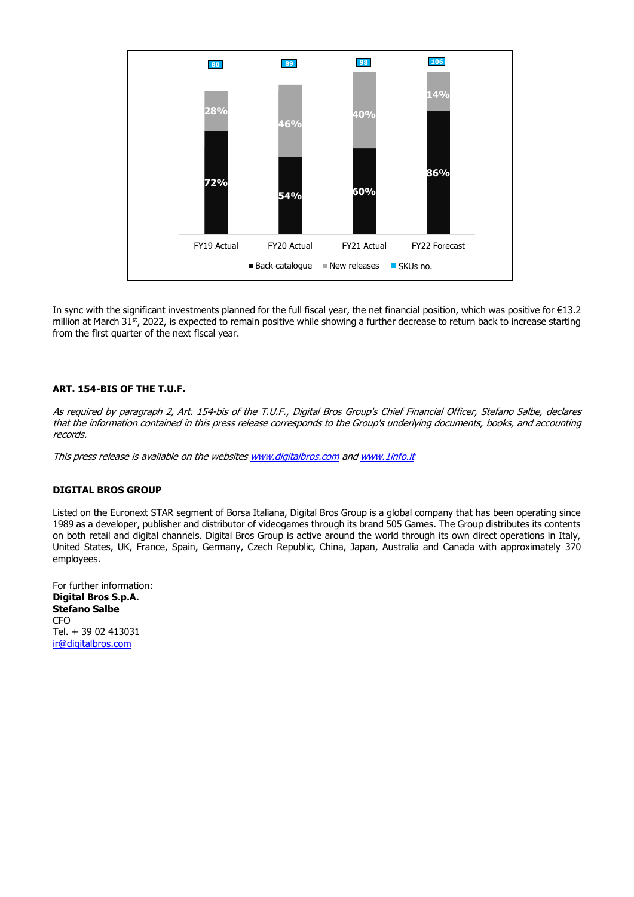

In sync with the significant investments planned for the full fiscal year, the net financial position, which was positive for €13.2 million at March 31<sup>st</sup>, 2022, is expected to remain positive while showing a further decrease to return back to increase starting from the first quarter of the next fiscal year.

#### **ART. 154-BIS OF THE T.U.F.**

As required by paragraph 2, Art. 154-bis of the T.U.F., Digital Bros Group's Chief Financial Officer, Stefano Salbe, declares that the information contained in this press release corresponds to the Group's underlying documents, books, and accounting records.

This press release is available on the website[s www.digitalbros.com](http://www.digitalbros.com/) and www.1info.it

#### **DIGITAL BROS GROUP**

Listed on the Euronext STAR segment of Borsa Italiana, Digital Bros Group is a global company that has been operating since 1989 as a developer, publisher and distributor of videogames through its brand 505 Games. The Group distributes its contents on both retail and digital channels. Digital Bros Group is active around the world through its own direct operations in Italy, United States, UK, France, Spain, Germany, Czech Republic, China, Japan, Australia and Canada with approximately 370 employees.

For further information: **Digital Bros S.p.A. Stefano Salbe** C<sub>FO</sub> Tel. + 39 02 413031 [ir@digitalbros.com](mailto:ir@digitalbros.com)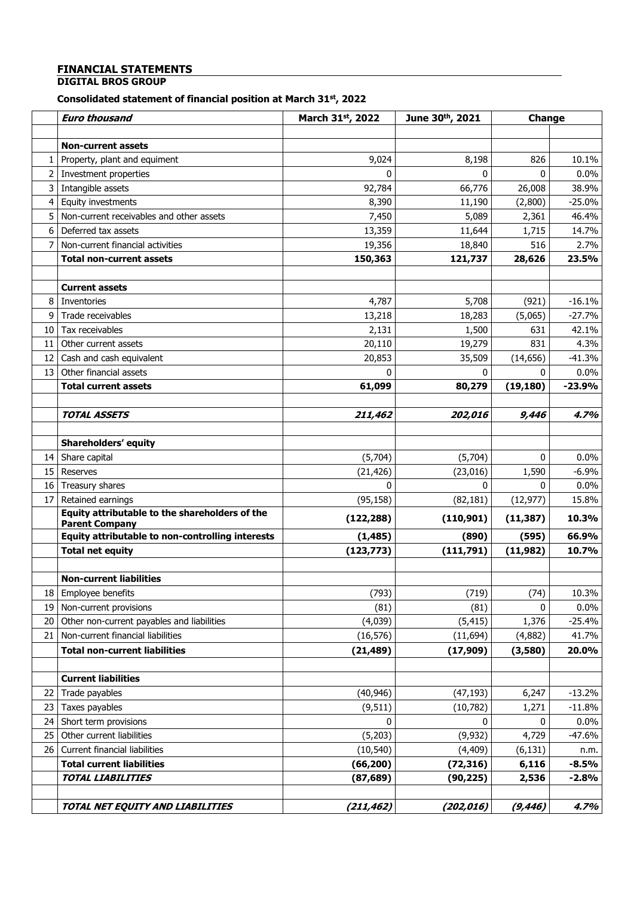# **FINANCIAL STATEMENTS**

## **DIGITAL BROS GROUP**

#### **Consolidated statement of financial position at March 31st , 2022**

|                   | <b>Euro thousand</b>                                                      | March 31st, 2022 | June 30th, 2021 | Change    |          |
|-------------------|---------------------------------------------------------------------------|------------------|-----------------|-----------|----------|
|                   |                                                                           |                  |                 |           |          |
|                   | <b>Non-current assets</b>                                                 |                  |                 |           |          |
| 1                 | Property, plant and equiment                                              | 9,024            | 8,198           | 826       | 10.1%    |
| $\overline{2}$    | Investment properties                                                     | $\mathbf{0}$     | 0               | 0         | 0.0%     |
| $\mathbf{3}$      | Intangible assets                                                         | 92,784           | 66,776          | 26,008    | 38.9%    |
| 4                 | <b>Equity investments</b>                                                 | 8,390            | 11,190          | (2,800)   | $-25.0%$ |
| 5                 | Non-current receivables and other assets                                  | 7,450            | 5,089           | 2,361     | 46.4%    |
| 6                 | Deferred tax assets                                                       | 13,359           | 11,644          | 1,715     | 14.7%    |
| 7                 | Non-current financial activities                                          | 19,356           | 18,840          | 516       | 2.7%     |
|                   | <b>Total non-current assets</b>                                           | 150,363          | 121,737         | 28,626    | 23.5%    |
|                   |                                                                           |                  |                 |           |          |
|                   | <b>Current assets</b>                                                     |                  |                 |           |          |
| 8                 | Inventories                                                               | 4,787            | 5,708           | (921)     | $-16.1%$ |
| 9                 | Trade receivables                                                         | 13,218           | 18,283          | (5,065)   | $-27.7%$ |
| 10                | Tax receivables                                                           | 2,131            | 1,500           | 631       | 42.1%    |
| 11                | Other current assets                                                      | 20,110           | 19,279          | 831       | 4.3%     |
| $12 \overline{ }$ | Cash and cash equivalent                                                  | 20,853           | 35,509          | (14, 656) | $-41.3%$ |
| 13                | Other financial assets                                                    |                  | <sup>0</sup>    | 0         | 0.0%     |
|                   | <b>Total current assets</b>                                               | 61,099           | 80,279          | (19, 180) | $-23.9%$ |
|                   |                                                                           |                  |                 |           |          |
|                   | <b>TOTAL ASSETS</b>                                                       | 211,462          | 202,016         | 9,446     | 4.7%     |
|                   |                                                                           |                  |                 |           |          |
|                   | <b>Shareholders' equity</b>                                               |                  |                 |           |          |
|                   | 14 Share capital                                                          | (5,704)          | (5,704)         | 0         | 0.0%     |
| 15 <sup>1</sup>   | Reserves                                                                  | (21, 426)        | (23, 016)       | 1,590     | $-6.9%$  |
| 16                | Treasury shares                                                           | $\Omega$         | 0               | 0         | 0.0%     |
| 17                | Retained earnings                                                         | (95, 158)        | (82, 181)       | (12, 977) | 15.8%    |
|                   | Equity attributable to the shareholders of the                            | (122, 288)       | (110, 901)      | (11, 387) | 10.3%    |
|                   | <b>Parent Company</b><br>Equity attributable to non-controlling interests | (1, 485)         | (890)           | (595)     | 66.9%    |
|                   | <b>Total net equity</b>                                                   | (123, 773)       | (111,791)       | (11, 982) | 10.7%    |
|                   |                                                                           |                  |                 |           |          |
|                   | <b>Non-current liabilities</b>                                            |                  |                 |           |          |
| 18 <sup>1</sup>   | Employee benefits                                                         | (793)            | (719)           | (74)      | 10.3%    |
| 19                | Non-current provisions                                                    | (81)             | (81)            | 0         | 0.0%     |
| 20                | Other non-current payables and liabilities                                | (4,039)          | (5, 415)        | 1,376     | $-25.4%$ |
| 21                | Non-current financial liabilities                                         | (16, 576)        | (11, 694)       | (4,882)   | 41.7%    |
|                   | <b>Total non-current liabilities</b>                                      | (21, 489)        | (17, 909)       | (3,580)   | 20.0%    |
|                   |                                                                           |                  |                 |           |          |
|                   | <b>Current liabilities</b>                                                |                  |                 |           |          |
| 22                | Trade payables                                                            | (40, 946)        | (47, 193)       | 6,247     | $-13.2%$ |
| 23                | Taxes payables                                                            | (9, 511)         | (10, 782)       | 1,271     | $-11.8%$ |
| 24                | Short term provisions                                                     | $\Omega$         | $\mathbf{0}$    | 0         | 0.0%     |
| 25                | Other current liabilities                                                 | (5,203)          | (9, 932)        | 4,729     | $-47.6%$ |
| 26                | Current financial liabilities                                             | (10, 540)        | (4, 409)        | (6, 131)  | n.m.     |
|                   | <b>Total current liabilities</b>                                          | (66, 200)        | (72, 316)       | 6,116     | $-8.5%$  |
|                   | <b>TOTAL LIABILITIES</b>                                                  | (87, 689)        | (90, 225)       | 2,536     | $-2.8%$  |
|                   |                                                                           |                  |                 |           |          |
|                   | TOTAL NET EQUITY AND LIABILITIES                                          | (211, 462)       | (202, 016)      | (9, 446)  | 4.7%     |
|                   |                                                                           |                  |                 |           |          |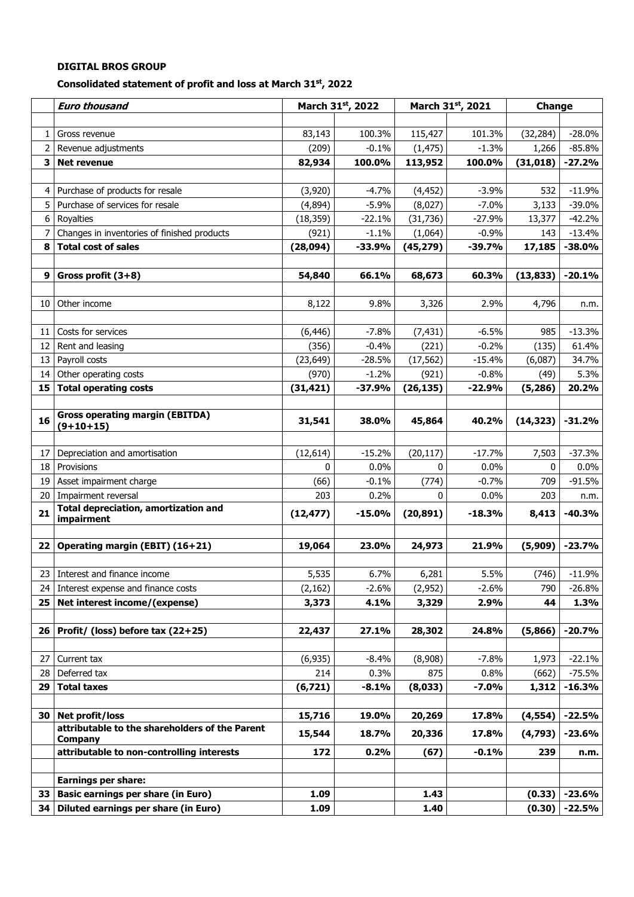#### **Consolidated statement of profit and loss at March 31st , 2022**

| 100.3%<br>83,143<br>115,427<br>101.3%<br>(32, 284)<br>Gross revenue<br>$\mathbf{1}$<br>$\overline{2}$<br>$-1.3%$<br>(209)<br>$-0.1%$<br>(1, 475)<br>1,266<br>Revenue adjustments<br>3<br><b>Net revenue</b><br>82,934<br>100.0%<br>113,952<br>100.0%<br>(31, 018)<br>Purchase of products for resale<br>(3,920)<br>$-4.7%$<br>(4, 452)<br>$-3.9%$<br>532<br>4 I<br>5<br>$-5.9%$<br>$-7.0%$<br>3,133<br>Purchase of services for resale<br>(4,894)<br>(8,027)<br>(31, 736)<br>6<br>Royalties<br>(18, 359)<br>$-22.1%$<br>$-27.9%$<br>13,377<br>Changes in inventories of finished products<br>(921)<br>$-1.1%$<br>(1,064)<br>$-0.9%$<br>143<br>8<br><b>Total cost of sales</b><br>(28,094)<br>$-33.9%$<br>(45, 279)<br>$-39.7%$<br>17,185<br>9<br>Gross profit $(3+8)$<br>54,840<br>66.1%<br>68,673<br>60.3%<br>(13, 833)<br>9.8%<br>2.9%<br>10<br>Other income<br>8,122<br>3,326<br>4,796<br>$-7.8%$<br>Costs for services<br>(7, 431)<br>$-6.5%$<br>985<br>11<br>(6, 446)<br>$-0.2%$<br>12<br>Rent and leasing<br>(356)<br>$-0.4%$<br>(221)<br>(135)<br>Payroll costs<br>(23, 649)<br>13<br>$-28.5%$<br>(17, 562)<br>$-15.4%$<br>(6,087)<br>Other operating costs<br>(970)<br>$-1.2%$<br>(921)<br>$-0.8%$<br>14<br>(49)<br><b>Total operating costs</b><br>15<br>(31, 421)<br>$-37.9%$<br>(26, 135)<br>$-22.9%$<br>(5,286)<br><b>Gross operating margin (EBITDA)</b><br>16<br>31,541<br>38.0%<br>45,864<br>40.2%<br>(14, 323)<br>$(9+10+15)$<br>$-15.2%$<br>17<br>Depreciation and amortisation<br>(12, 614)<br>(20, 117)<br>$-17.7%$<br>7,503<br>$-37.3%$<br>18<br>Provisions<br>0<br>0.0%<br>0<br>0.0%<br>0<br>(66)<br>$-0.1%$<br>(774)<br>$-0.7%$<br>709<br>$-91.5%$<br>19<br>Asset impairment charge<br>Impairment reversal<br>20<br>203<br>0.2%<br>0.0%<br>203<br>0<br><b>Total depreciation, amortization and</b><br>21<br>(12, 477)<br>$-15.0%$<br>(20, 891)<br>8,413<br>$-18.3%$<br>impairment<br>Operating margin (EBIT) (16+21)<br>19,064<br>21.9%<br>$-23.7%$<br>22<br>23.0%<br>24,973<br>(5,909)<br>5,535<br>6.7%<br>5.5%<br>$-11.9%$<br>23 Interest and finance income<br>6,281<br>(746)<br>24 Interest expense and finance costs<br>$-2.6%$<br>$-2.6%$<br>(2, 162)<br>(2,952)<br>790<br>$-26.8%$<br>Net interest income/(expense)<br>3,329<br>2.9%<br>1.3%<br>3,373<br>4.1%<br>44<br>25  <br>Profit/ (loss) before tax (22+25)<br>$-20.7%$<br>26 <br>22,437<br>27.1%<br>28,302<br>24.8%<br>(5,866)<br>$-7.8%$<br>$-22.1%$<br>27<br>Current tax<br>(6, 935)<br>$-8.4%$<br>(8,908)<br>1,973<br>0.8%<br>Deferred tax<br>214<br>0.3%<br>875<br>(662)<br>$-75.5%$<br>28<br>$-16.3%$<br>29<br><b>Total taxes</b><br>(6, 721)<br>$-8.1%$<br>(8,033)<br>$-7.0%$<br>1,312<br>Net profit/loss<br>15,716<br>19.0%<br>17.8%<br>30 <br>20,269<br>(4, 554)<br>attributable to the shareholders of the Parent<br>15,544<br>18.7%<br>20,336<br>17.8%<br>(4,793)<br><b>Company</b><br>attributable to non-controlling interests<br>172<br>0.2%<br>$-0.1%$<br>(67)<br>239<br><b>Earnings per share:</b><br><b>Basic earnings per share (in Euro)</b><br>33 <sup>1</sup><br>1.09<br>1.43<br>(0.33) | <b>Euro thousand</b> | March 31st, 2022 | March 31st, 2021 | Change |          |
|------------------------------------------------------------------------------------------------------------------------------------------------------------------------------------------------------------------------------------------------------------------------------------------------------------------------------------------------------------------------------------------------------------------------------------------------------------------------------------------------------------------------------------------------------------------------------------------------------------------------------------------------------------------------------------------------------------------------------------------------------------------------------------------------------------------------------------------------------------------------------------------------------------------------------------------------------------------------------------------------------------------------------------------------------------------------------------------------------------------------------------------------------------------------------------------------------------------------------------------------------------------------------------------------------------------------------------------------------------------------------------------------------------------------------------------------------------------------------------------------------------------------------------------------------------------------------------------------------------------------------------------------------------------------------------------------------------------------------------------------------------------------------------------------------------------------------------------------------------------------------------------------------------------------------------------------------------------------------------------------------------------------------------------------------------------------------------------------------------------------------------------------------------------------------------------------------------------------------------------------------------------------------------------------------------------------------------------------------------------------------------------------------------------------------------------------------------------------------------------------------------------------------------------------------------------------------------------------------------------------------------------------------------------------------------------------------------------------------------------------------------------------------------------------------------------------------------------------------------------------------------------------------------------------------------------------------------------------------------------------------------------------------------------------------------------------------------------------|----------------------|------------------|------------------|--------|----------|
|                                                                                                                                                                                                                                                                                                                                                                                                                                                                                                                                                                                                                                                                                                                                                                                                                                                                                                                                                                                                                                                                                                                                                                                                                                                                                                                                                                                                                                                                                                                                                                                                                                                                                                                                                                                                                                                                                                                                                                                                                                                                                                                                                                                                                                                                                                                                                                                                                                                                                                                                                                                                                                                                                                                                                                                                                                                                                                                                                                                                                                                                                                |                      |                  |                  |        |          |
|                                                                                                                                                                                                                                                                                                                                                                                                                                                                                                                                                                                                                                                                                                                                                                                                                                                                                                                                                                                                                                                                                                                                                                                                                                                                                                                                                                                                                                                                                                                                                                                                                                                                                                                                                                                                                                                                                                                                                                                                                                                                                                                                                                                                                                                                                                                                                                                                                                                                                                                                                                                                                                                                                                                                                                                                                                                                                                                                                                                                                                                                                                |                      |                  |                  |        | $-28.0%$ |
|                                                                                                                                                                                                                                                                                                                                                                                                                                                                                                                                                                                                                                                                                                                                                                                                                                                                                                                                                                                                                                                                                                                                                                                                                                                                                                                                                                                                                                                                                                                                                                                                                                                                                                                                                                                                                                                                                                                                                                                                                                                                                                                                                                                                                                                                                                                                                                                                                                                                                                                                                                                                                                                                                                                                                                                                                                                                                                                                                                                                                                                                                                |                      |                  |                  |        | $-85.8%$ |
|                                                                                                                                                                                                                                                                                                                                                                                                                                                                                                                                                                                                                                                                                                                                                                                                                                                                                                                                                                                                                                                                                                                                                                                                                                                                                                                                                                                                                                                                                                                                                                                                                                                                                                                                                                                                                                                                                                                                                                                                                                                                                                                                                                                                                                                                                                                                                                                                                                                                                                                                                                                                                                                                                                                                                                                                                                                                                                                                                                                                                                                                                                |                      |                  |                  |        | $-27.2%$ |
|                                                                                                                                                                                                                                                                                                                                                                                                                                                                                                                                                                                                                                                                                                                                                                                                                                                                                                                                                                                                                                                                                                                                                                                                                                                                                                                                                                                                                                                                                                                                                                                                                                                                                                                                                                                                                                                                                                                                                                                                                                                                                                                                                                                                                                                                                                                                                                                                                                                                                                                                                                                                                                                                                                                                                                                                                                                                                                                                                                                                                                                                                                |                      |                  |                  |        |          |
|                                                                                                                                                                                                                                                                                                                                                                                                                                                                                                                                                                                                                                                                                                                                                                                                                                                                                                                                                                                                                                                                                                                                                                                                                                                                                                                                                                                                                                                                                                                                                                                                                                                                                                                                                                                                                                                                                                                                                                                                                                                                                                                                                                                                                                                                                                                                                                                                                                                                                                                                                                                                                                                                                                                                                                                                                                                                                                                                                                                                                                                                                                |                      |                  |                  |        | $-11.9%$ |
|                                                                                                                                                                                                                                                                                                                                                                                                                                                                                                                                                                                                                                                                                                                                                                                                                                                                                                                                                                                                                                                                                                                                                                                                                                                                                                                                                                                                                                                                                                                                                                                                                                                                                                                                                                                                                                                                                                                                                                                                                                                                                                                                                                                                                                                                                                                                                                                                                                                                                                                                                                                                                                                                                                                                                                                                                                                                                                                                                                                                                                                                                                |                      |                  |                  |        | $-39.0%$ |
|                                                                                                                                                                                                                                                                                                                                                                                                                                                                                                                                                                                                                                                                                                                                                                                                                                                                                                                                                                                                                                                                                                                                                                                                                                                                                                                                                                                                                                                                                                                                                                                                                                                                                                                                                                                                                                                                                                                                                                                                                                                                                                                                                                                                                                                                                                                                                                                                                                                                                                                                                                                                                                                                                                                                                                                                                                                                                                                                                                                                                                                                                                |                      |                  |                  |        | $-42.2%$ |
|                                                                                                                                                                                                                                                                                                                                                                                                                                                                                                                                                                                                                                                                                                                                                                                                                                                                                                                                                                                                                                                                                                                                                                                                                                                                                                                                                                                                                                                                                                                                                                                                                                                                                                                                                                                                                                                                                                                                                                                                                                                                                                                                                                                                                                                                                                                                                                                                                                                                                                                                                                                                                                                                                                                                                                                                                                                                                                                                                                                                                                                                                                |                      |                  |                  |        | $-13.4%$ |
|                                                                                                                                                                                                                                                                                                                                                                                                                                                                                                                                                                                                                                                                                                                                                                                                                                                                                                                                                                                                                                                                                                                                                                                                                                                                                                                                                                                                                                                                                                                                                                                                                                                                                                                                                                                                                                                                                                                                                                                                                                                                                                                                                                                                                                                                                                                                                                                                                                                                                                                                                                                                                                                                                                                                                                                                                                                                                                                                                                                                                                                                                                |                      |                  |                  |        | $-38.0%$ |
|                                                                                                                                                                                                                                                                                                                                                                                                                                                                                                                                                                                                                                                                                                                                                                                                                                                                                                                                                                                                                                                                                                                                                                                                                                                                                                                                                                                                                                                                                                                                                                                                                                                                                                                                                                                                                                                                                                                                                                                                                                                                                                                                                                                                                                                                                                                                                                                                                                                                                                                                                                                                                                                                                                                                                                                                                                                                                                                                                                                                                                                                                                |                      |                  |                  |        |          |
|                                                                                                                                                                                                                                                                                                                                                                                                                                                                                                                                                                                                                                                                                                                                                                                                                                                                                                                                                                                                                                                                                                                                                                                                                                                                                                                                                                                                                                                                                                                                                                                                                                                                                                                                                                                                                                                                                                                                                                                                                                                                                                                                                                                                                                                                                                                                                                                                                                                                                                                                                                                                                                                                                                                                                                                                                                                                                                                                                                                                                                                                                                |                      |                  |                  |        | $-20.1%$ |
|                                                                                                                                                                                                                                                                                                                                                                                                                                                                                                                                                                                                                                                                                                                                                                                                                                                                                                                                                                                                                                                                                                                                                                                                                                                                                                                                                                                                                                                                                                                                                                                                                                                                                                                                                                                                                                                                                                                                                                                                                                                                                                                                                                                                                                                                                                                                                                                                                                                                                                                                                                                                                                                                                                                                                                                                                                                                                                                                                                                                                                                                                                |                      |                  |                  |        |          |
|                                                                                                                                                                                                                                                                                                                                                                                                                                                                                                                                                                                                                                                                                                                                                                                                                                                                                                                                                                                                                                                                                                                                                                                                                                                                                                                                                                                                                                                                                                                                                                                                                                                                                                                                                                                                                                                                                                                                                                                                                                                                                                                                                                                                                                                                                                                                                                                                                                                                                                                                                                                                                                                                                                                                                                                                                                                                                                                                                                                                                                                                                                |                      |                  |                  |        | n.m.     |
|                                                                                                                                                                                                                                                                                                                                                                                                                                                                                                                                                                                                                                                                                                                                                                                                                                                                                                                                                                                                                                                                                                                                                                                                                                                                                                                                                                                                                                                                                                                                                                                                                                                                                                                                                                                                                                                                                                                                                                                                                                                                                                                                                                                                                                                                                                                                                                                                                                                                                                                                                                                                                                                                                                                                                                                                                                                                                                                                                                                                                                                                                                |                      |                  |                  |        |          |
|                                                                                                                                                                                                                                                                                                                                                                                                                                                                                                                                                                                                                                                                                                                                                                                                                                                                                                                                                                                                                                                                                                                                                                                                                                                                                                                                                                                                                                                                                                                                                                                                                                                                                                                                                                                                                                                                                                                                                                                                                                                                                                                                                                                                                                                                                                                                                                                                                                                                                                                                                                                                                                                                                                                                                                                                                                                                                                                                                                                                                                                                                                |                      |                  |                  |        | $-13.3%$ |
|                                                                                                                                                                                                                                                                                                                                                                                                                                                                                                                                                                                                                                                                                                                                                                                                                                                                                                                                                                                                                                                                                                                                                                                                                                                                                                                                                                                                                                                                                                                                                                                                                                                                                                                                                                                                                                                                                                                                                                                                                                                                                                                                                                                                                                                                                                                                                                                                                                                                                                                                                                                                                                                                                                                                                                                                                                                                                                                                                                                                                                                                                                |                      |                  |                  |        | 61.4%    |
|                                                                                                                                                                                                                                                                                                                                                                                                                                                                                                                                                                                                                                                                                                                                                                                                                                                                                                                                                                                                                                                                                                                                                                                                                                                                                                                                                                                                                                                                                                                                                                                                                                                                                                                                                                                                                                                                                                                                                                                                                                                                                                                                                                                                                                                                                                                                                                                                                                                                                                                                                                                                                                                                                                                                                                                                                                                                                                                                                                                                                                                                                                |                      |                  |                  |        | 34.7%    |
|                                                                                                                                                                                                                                                                                                                                                                                                                                                                                                                                                                                                                                                                                                                                                                                                                                                                                                                                                                                                                                                                                                                                                                                                                                                                                                                                                                                                                                                                                                                                                                                                                                                                                                                                                                                                                                                                                                                                                                                                                                                                                                                                                                                                                                                                                                                                                                                                                                                                                                                                                                                                                                                                                                                                                                                                                                                                                                                                                                                                                                                                                                |                      |                  |                  |        | 5.3%     |
|                                                                                                                                                                                                                                                                                                                                                                                                                                                                                                                                                                                                                                                                                                                                                                                                                                                                                                                                                                                                                                                                                                                                                                                                                                                                                                                                                                                                                                                                                                                                                                                                                                                                                                                                                                                                                                                                                                                                                                                                                                                                                                                                                                                                                                                                                                                                                                                                                                                                                                                                                                                                                                                                                                                                                                                                                                                                                                                                                                                                                                                                                                |                      |                  |                  |        | 20.2%    |
|                                                                                                                                                                                                                                                                                                                                                                                                                                                                                                                                                                                                                                                                                                                                                                                                                                                                                                                                                                                                                                                                                                                                                                                                                                                                                                                                                                                                                                                                                                                                                                                                                                                                                                                                                                                                                                                                                                                                                                                                                                                                                                                                                                                                                                                                                                                                                                                                                                                                                                                                                                                                                                                                                                                                                                                                                                                                                                                                                                                                                                                                                                |                      |                  |                  |        |          |
|                                                                                                                                                                                                                                                                                                                                                                                                                                                                                                                                                                                                                                                                                                                                                                                                                                                                                                                                                                                                                                                                                                                                                                                                                                                                                                                                                                                                                                                                                                                                                                                                                                                                                                                                                                                                                                                                                                                                                                                                                                                                                                                                                                                                                                                                                                                                                                                                                                                                                                                                                                                                                                                                                                                                                                                                                                                                                                                                                                                                                                                                                                |                      |                  |                  |        | $-31.2%$ |
|                                                                                                                                                                                                                                                                                                                                                                                                                                                                                                                                                                                                                                                                                                                                                                                                                                                                                                                                                                                                                                                                                                                                                                                                                                                                                                                                                                                                                                                                                                                                                                                                                                                                                                                                                                                                                                                                                                                                                                                                                                                                                                                                                                                                                                                                                                                                                                                                                                                                                                                                                                                                                                                                                                                                                                                                                                                                                                                                                                                                                                                                                                |                      |                  |                  |        |          |
|                                                                                                                                                                                                                                                                                                                                                                                                                                                                                                                                                                                                                                                                                                                                                                                                                                                                                                                                                                                                                                                                                                                                                                                                                                                                                                                                                                                                                                                                                                                                                                                                                                                                                                                                                                                                                                                                                                                                                                                                                                                                                                                                                                                                                                                                                                                                                                                                                                                                                                                                                                                                                                                                                                                                                                                                                                                                                                                                                                                                                                                                                                |                      |                  |                  |        |          |
|                                                                                                                                                                                                                                                                                                                                                                                                                                                                                                                                                                                                                                                                                                                                                                                                                                                                                                                                                                                                                                                                                                                                                                                                                                                                                                                                                                                                                                                                                                                                                                                                                                                                                                                                                                                                                                                                                                                                                                                                                                                                                                                                                                                                                                                                                                                                                                                                                                                                                                                                                                                                                                                                                                                                                                                                                                                                                                                                                                                                                                                                                                |                      |                  |                  |        | $0.0\%$  |
|                                                                                                                                                                                                                                                                                                                                                                                                                                                                                                                                                                                                                                                                                                                                                                                                                                                                                                                                                                                                                                                                                                                                                                                                                                                                                                                                                                                                                                                                                                                                                                                                                                                                                                                                                                                                                                                                                                                                                                                                                                                                                                                                                                                                                                                                                                                                                                                                                                                                                                                                                                                                                                                                                                                                                                                                                                                                                                                                                                                                                                                                                                |                      |                  |                  |        |          |
|                                                                                                                                                                                                                                                                                                                                                                                                                                                                                                                                                                                                                                                                                                                                                                                                                                                                                                                                                                                                                                                                                                                                                                                                                                                                                                                                                                                                                                                                                                                                                                                                                                                                                                                                                                                                                                                                                                                                                                                                                                                                                                                                                                                                                                                                                                                                                                                                                                                                                                                                                                                                                                                                                                                                                                                                                                                                                                                                                                                                                                                                                                |                      |                  |                  |        | n.m.     |
|                                                                                                                                                                                                                                                                                                                                                                                                                                                                                                                                                                                                                                                                                                                                                                                                                                                                                                                                                                                                                                                                                                                                                                                                                                                                                                                                                                                                                                                                                                                                                                                                                                                                                                                                                                                                                                                                                                                                                                                                                                                                                                                                                                                                                                                                                                                                                                                                                                                                                                                                                                                                                                                                                                                                                                                                                                                                                                                                                                                                                                                                                                |                      |                  |                  |        | $-40.3%$ |
|                                                                                                                                                                                                                                                                                                                                                                                                                                                                                                                                                                                                                                                                                                                                                                                                                                                                                                                                                                                                                                                                                                                                                                                                                                                                                                                                                                                                                                                                                                                                                                                                                                                                                                                                                                                                                                                                                                                                                                                                                                                                                                                                                                                                                                                                                                                                                                                                                                                                                                                                                                                                                                                                                                                                                                                                                                                                                                                                                                                                                                                                                                |                      |                  |                  |        |          |
|                                                                                                                                                                                                                                                                                                                                                                                                                                                                                                                                                                                                                                                                                                                                                                                                                                                                                                                                                                                                                                                                                                                                                                                                                                                                                                                                                                                                                                                                                                                                                                                                                                                                                                                                                                                                                                                                                                                                                                                                                                                                                                                                                                                                                                                                                                                                                                                                                                                                                                                                                                                                                                                                                                                                                                                                                                                                                                                                                                                                                                                                                                |                      |                  |                  |        |          |
|                                                                                                                                                                                                                                                                                                                                                                                                                                                                                                                                                                                                                                                                                                                                                                                                                                                                                                                                                                                                                                                                                                                                                                                                                                                                                                                                                                                                                                                                                                                                                                                                                                                                                                                                                                                                                                                                                                                                                                                                                                                                                                                                                                                                                                                                                                                                                                                                                                                                                                                                                                                                                                                                                                                                                                                                                                                                                                                                                                                                                                                                                                |                      |                  |                  |        |          |
|                                                                                                                                                                                                                                                                                                                                                                                                                                                                                                                                                                                                                                                                                                                                                                                                                                                                                                                                                                                                                                                                                                                                                                                                                                                                                                                                                                                                                                                                                                                                                                                                                                                                                                                                                                                                                                                                                                                                                                                                                                                                                                                                                                                                                                                                                                                                                                                                                                                                                                                                                                                                                                                                                                                                                                                                                                                                                                                                                                                                                                                                                                |                      |                  |                  |        |          |
|                                                                                                                                                                                                                                                                                                                                                                                                                                                                                                                                                                                                                                                                                                                                                                                                                                                                                                                                                                                                                                                                                                                                                                                                                                                                                                                                                                                                                                                                                                                                                                                                                                                                                                                                                                                                                                                                                                                                                                                                                                                                                                                                                                                                                                                                                                                                                                                                                                                                                                                                                                                                                                                                                                                                                                                                                                                                                                                                                                                                                                                                                                |                      |                  |                  |        |          |
|                                                                                                                                                                                                                                                                                                                                                                                                                                                                                                                                                                                                                                                                                                                                                                                                                                                                                                                                                                                                                                                                                                                                                                                                                                                                                                                                                                                                                                                                                                                                                                                                                                                                                                                                                                                                                                                                                                                                                                                                                                                                                                                                                                                                                                                                                                                                                                                                                                                                                                                                                                                                                                                                                                                                                                                                                                                                                                                                                                                                                                                                                                |                      |                  |                  |        |          |
|                                                                                                                                                                                                                                                                                                                                                                                                                                                                                                                                                                                                                                                                                                                                                                                                                                                                                                                                                                                                                                                                                                                                                                                                                                                                                                                                                                                                                                                                                                                                                                                                                                                                                                                                                                                                                                                                                                                                                                                                                                                                                                                                                                                                                                                                                                                                                                                                                                                                                                                                                                                                                                                                                                                                                                                                                                                                                                                                                                                                                                                                                                |                      |                  |                  |        |          |
|                                                                                                                                                                                                                                                                                                                                                                                                                                                                                                                                                                                                                                                                                                                                                                                                                                                                                                                                                                                                                                                                                                                                                                                                                                                                                                                                                                                                                                                                                                                                                                                                                                                                                                                                                                                                                                                                                                                                                                                                                                                                                                                                                                                                                                                                                                                                                                                                                                                                                                                                                                                                                                                                                                                                                                                                                                                                                                                                                                                                                                                                                                |                      |                  |                  |        |          |
|                                                                                                                                                                                                                                                                                                                                                                                                                                                                                                                                                                                                                                                                                                                                                                                                                                                                                                                                                                                                                                                                                                                                                                                                                                                                                                                                                                                                                                                                                                                                                                                                                                                                                                                                                                                                                                                                                                                                                                                                                                                                                                                                                                                                                                                                                                                                                                                                                                                                                                                                                                                                                                                                                                                                                                                                                                                                                                                                                                                                                                                                                                |                      |                  |                  |        |          |
|                                                                                                                                                                                                                                                                                                                                                                                                                                                                                                                                                                                                                                                                                                                                                                                                                                                                                                                                                                                                                                                                                                                                                                                                                                                                                                                                                                                                                                                                                                                                                                                                                                                                                                                                                                                                                                                                                                                                                                                                                                                                                                                                                                                                                                                                                                                                                                                                                                                                                                                                                                                                                                                                                                                                                                                                                                                                                                                                                                                                                                                                                                |                      |                  |                  |        |          |
|                                                                                                                                                                                                                                                                                                                                                                                                                                                                                                                                                                                                                                                                                                                                                                                                                                                                                                                                                                                                                                                                                                                                                                                                                                                                                                                                                                                                                                                                                                                                                                                                                                                                                                                                                                                                                                                                                                                                                                                                                                                                                                                                                                                                                                                                                                                                                                                                                                                                                                                                                                                                                                                                                                                                                                                                                                                                                                                                                                                                                                                                                                |                      |                  |                  |        |          |
|                                                                                                                                                                                                                                                                                                                                                                                                                                                                                                                                                                                                                                                                                                                                                                                                                                                                                                                                                                                                                                                                                                                                                                                                                                                                                                                                                                                                                                                                                                                                                                                                                                                                                                                                                                                                                                                                                                                                                                                                                                                                                                                                                                                                                                                                                                                                                                                                                                                                                                                                                                                                                                                                                                                                                                                                                                                                                                                                                                                                                                                                                                |                      |                  |                  |        |          |
|                                                                                                                                                                                                                                                                                                                                                                                                                                                                                                                                                                                                                                                                                                                                                                                                                                                                                                                                                                                                                                                                                                                                                                                                                                                                                                                                                                                                                                                                                                                                                                                                                                                                                                                                                                                                                                                                                                                                                                                                                                                                                                                                                                                                                                                                                                                                                                                                                                                                                                                                                                                                                                                                                                                                                                                                                                                                                                                                                                                                                                                                                                |                      |                  |                  |        | $-22.5%$ |
|                                                                                                                                                                                                                                                                                                                                                                                                                                                                                                                                                                                                                                                                                                                                                                                                                                                                                                                                                                                                                                                                                                                                                                                                                                                                                                                                                                                                                                                                                                                                                                                                                                                                                                                                                                                                                                                                                                                                                                                                                                                                                                                                                                                                                                                                                                                                                                                                                                                                                                                                                                                                                                                                                                                                                                                                                                                                                                                                                                                                                                                                                                |                      |                  |                  |        | $-23.6%$ |
|                                                                                                                                                                                                                                                                                                                                                                                                                                                                                                                                                                                                                                                                                                                                                                                                                                                                                                                                                                                                                                                                                                                                                                                                                                                                                                                                                                                                                                                                                                                                                                                                                                                                                                                                                                                                                                                                                                                                                                                                                                                                                                                                                                                                                                                                                                                                                                                                                                                                                                                                                                                                                                                                                                                                                                                                                                                                                                                                                                                                                                                                                                |                      |                  |                  |        | n.m.     |
|                                                                                                                                                                                                                                                                                                                                                                                                                                                                                                                                                                                                                                                                                                                                                                                                                                                                                                                                                                                                                                                                                                                                                                                                                                                                                                                                                                                                                                                                                                                                                                                                                                                                                                                                                                                                                                                                                                                                                                                                                                                                                                                                                                                                                                                                                                                                                                                                                                                                                                                                                                                                                                                                                                                                                                                                                                                                                                                                                                                                                                                                                                |                      |                  |                  |        |          |
|                                                                                                                                                                                                                                                                                                                                                                                                                                                                                                                                                                                                                                                                                                                                                                                                                                                                                                                                                                                                                                                                                                                                                                                                                                                                                                                                                                                                                                                                                                                                                                                                                                                                                                                                                                                                                                                                                                                                                                                                                                                                                                                                                                                                                                                                                                                                                                                                                                                                                                                                                                                                                                                                                                                                                                                                                                                                                                                                                                                                                                                                                                |                      |                  |                  |        |          |
|                                                                                                                                                                                                                                                                                                                                                                                                                                                                                                                                                                                                                                                                                                                                                                                                                                                                                                                                                                                                                                                                                                                                                                                                                                                                                                                                                                                                                                                                                                                                                                                                                                                                                                                                                                                                                                                                                                                                                                                                                                                                                                                                                                                                                                                                                                                                                                                                                                                                                                                                                                                                                                                                                                                                                                                                                                                                                                                                                                                                                                                                                                |                      |                  |                  |        | $-23.6%$ |
| Diluted earnings per share (in Euro)<br>34<br>1.09<br>1.40<br>(0.30)                                                                                                                                                                                                                                                                                                                                                                                                                                                                                                                                                                                                                                                                                                                                                                                                                                                                                                                                                                                                                                                                                                                                                                                                                                                                                                                                                                                                                                                                                                                                                                                                                                                                                                                                                                                                                                                                                                                                                                                                                                                                                                                                                                                                                                                                                                                                                                                                                                                                                                                                                                                                                                                                                                                                                                                                                                                                                                                                                                                                                           |                      |                  |                  |        | -22.5%   |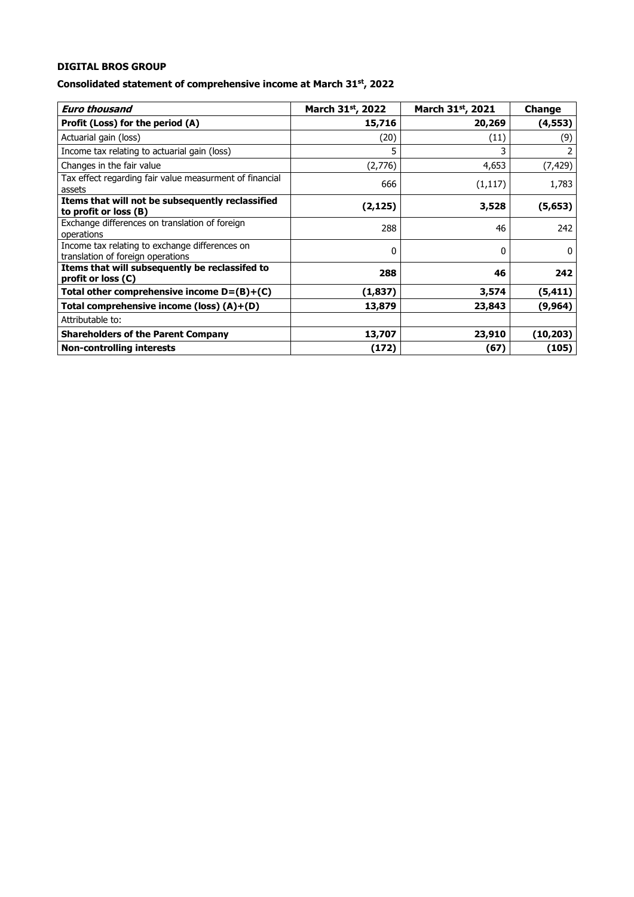## **Consolidated statement of comprehensive income at March 31st, 2022**

| <b>Euro thousand</b>                                                                | March 31st, 2022 | March 31st, 2021 | Change    |
|-------------------------------------------------------------------------------------|------------------|------------------|-----------|
| Profit (Loss) for the period (A)                                                    | 15,716           | 20,269           | (4, 553)  |
| Actuarial gain (loss)                                                               | (20)             | (11)             | (9)       |
| Income tax relating to actuarial gain (loss)                                        | 5                | 3                |           |
| Changes in the fair value                                                           | (2,776)          | 4,653            | (7, 429)  |
| Tax effect regarding fair value measurment of financial<br>assets                   | 666              | (1, 117)         | 1,783     |
| Items that will not be subsequently reclassified<br>to profit or loss (B)           | (2, 125)         | 3,528            | (5, 653)  |
| Exchange differences on translation of foreign<br>operations                        | 288              | 46               | 242       |
| Income tax relating to exchange differences on<br>translation of foreign operations | 0                | 0                | $\Omega$  |
| Items that will subsequently be reclassifed to<br>profit or loss (C)                | 288              | 46               | 242       |
| Total other comprehensive income $D = (B)+(C)$                                      | (1,837)          | 3,574            | (5, 411)  |
| Total comprehensive income (loss) (A)+(D)                                           | 13,879           | 23,843           | (9,964)   |
| Attributable to:                                                                    |                  |                  |           |
| <b>Shareholders of the Parent Company</b>                                           | 13,707           | 23,910           | (10, 203) |
| <b>Non-controlling interests</b>                                                    | (172)            | (67)             | (105)     |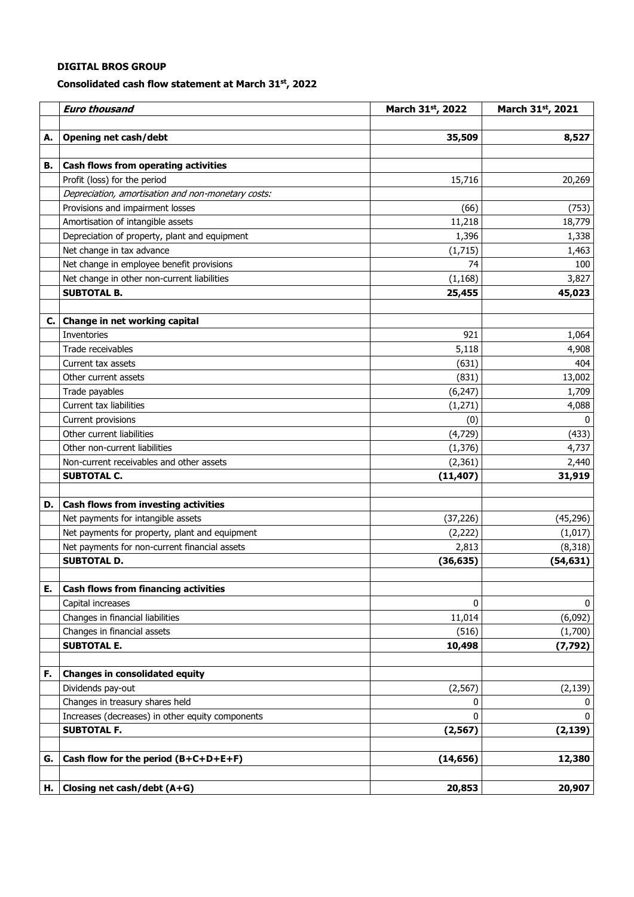#### **Consolidated cash flow statement at March 31st , 2022**

|    | <b>Euro thousand</b>                               | March 31st, 2022 | March 31st, 2021 |
|----|----------------------------------------------------|------------------|------------------|
| А. | <b>Opening net cash/debt</b>                       | 35,509           | 8,527            |
|    |                                                    |                  |                  |
| В. | Cash flows from operating activities               |                  |                  |
|    | Profit (loss) for the period                       | 15,716           | 20,269           |
|    | Depreciation, amortisation and non-monetary costs: |                  |                  |
|    | Provisions and impairment losses                   | (66)             | (753)            |
|    | Amortisation of intangible assets                  | 11,218           | 18,779           |
|    | Depreciation of property, plant and equipment      | 1,396            | 1,338            |
|    | Net change in tax advance                          | (1,715)          | 1,463            |
|    | Net change in employee benefit provisions          | 74               | 100              |
|    | Net change in other non-current liabilities        | (1, 168)         | 3,827            |
|    | <b>SUBTOTAL B.</b>                                 | 25,455           | 45,023           |
|    |                                                    |                  |                  |
| С. | Change in net working capital<br>Inventories       | 921              | 1,064            |
|    | Trade receivables                                  | 5,118            | 4,908            |
|    | Current tax assets                                 | (631)            | 404              |
|    | Other current assets                               | (831)            | 13,002           |
|    | Trade payables                                     | (6, 247)         | 1,709            |
|    | <b>Current tax liabilities</b>                     | (1, 271)         | 4,088            |
|    | Current provisions                                 | (0)              | $\mathbf{0}$     |
|    | Other current liabilities                          | (4, 729)         | (433)            |
|    | Other non-current liabilities                      | (1, 376)         | 4,737            |
|    | Non-current receivables and other assets           | (2, 361)         | 2,440            |
|    | <b>SUBTOTAL C.</b>                                 | (11, 407)        | 31,919           |
|    |                                                    |                  |                  |
| D. | Cash flows from investing activities               |                  |                  |
|    | Net payments for intangible assets                 | (37, 226)        | (45, 296)        |
|    | Net payments for property, plant and equipment     | (2, 222)         | (1,017)          |
|    | Net payments for non-current financial assets      | 2,813            | (8, 318)         |
|    | <b>SUBTOTAL D.</b>                                 | (36, 635)        | (54, 631)        |
|    |                                                    |                  |                  |
| Е. | <b>Cash flows from financing activities</b>        |                  |                  |
|    | Capital increases                                  | 0                | 0                |
|    | Changes in financial liabilities                   | 11,014           | (6,092)          |
|    | Changes in financial assets                        | (516)            | (1,700)          |
|    | <b>SUBTOTAL E.</b>                                 | 10,498           | (7, 792)         |
| F. | <b>Changes in consolidated equity</b>              |                  |                  |
|    | Dividends pay-out                                  | (2, 567)         | (2, 139)         |
|    | Changes in treasury shares held                    | 0                | 0                |
|    | Increases (decreases) in other equity components   | $\mathbf{0}$     | $\mathbf 0$      |
|    | <b>SUBTOTAL F.</b>                                 | (2, 567)         | (2, 139)         |
|    |                                                    |                  |                  |
| G. | Cash flow for the period $(B+C+D+E+F)$             | (14, 656)        | 12,380           |
|    |                                                    |                  |                  |
| н. | Closing net cash/debt (A+G)                        | 20,853           | 20,907           |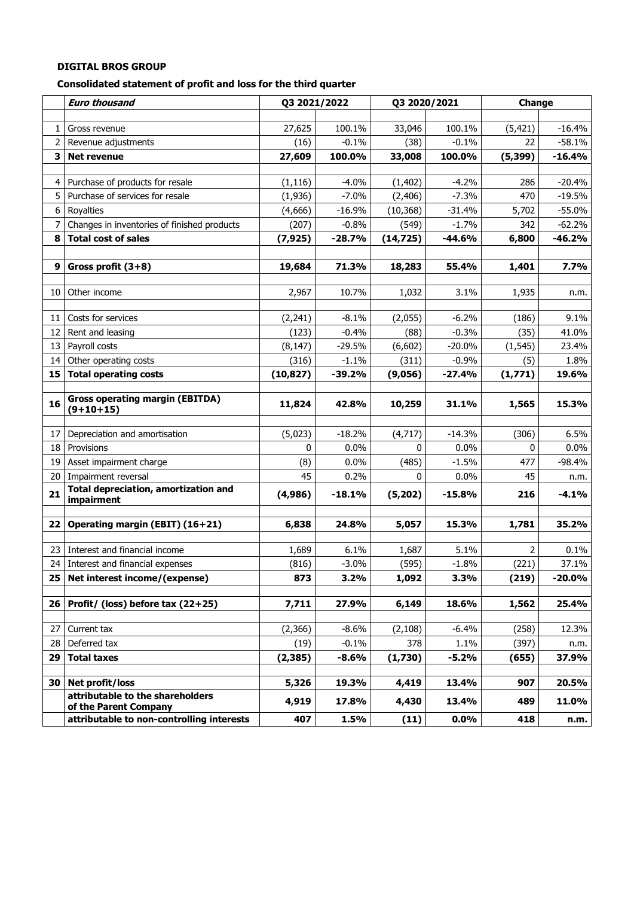**Consolidated statement of profit and loss for the third quarter** 

|                   | <b>Euro thousand</b>                                                | Q3 2021/2022 |                 | Q3 2020/2021   |                 | Change         |                   |
|-------------------|---------------------------------------------------------------------|--------------|-----------------|----------------|-----------------|----------------|-------------------|
|                   |                                                                     |              |                 |                |                 |                |                   |
| 1 <sub>1</sub>    | Gross revenue                                                       | 27,625       | 100.1%          | 33,046         | 100.1%          | (5, 421)       | $-16.4%$          |
|                   | 2 Revenue adjustments                                               | (16)         | $-0.1%$         | (38)           | $-0.1%$         | 22             | $-58.1%$          |
| 3                 | <b>Net revenue</b>                                                  | 27,609       | 100.0%          | 33,008         | 100.0%          | (5, 399)       | $-16.4%$          |
| 4                 | Purchase of products for resale                                     | (1, 116)     | $-4.0%$         | (1, 402)       | $-4.2%$         | 286            | $-20.4%$          |
| 5                 | Purchase of services for resale                                     | (1,936)      | $-7.0%$         | (2, 406)       | $-7.3%$         | 470            | $-19.5%$          |
| 6 <sup>1</sup>    | Royalties                                                           | (4,666)      | $-16.9%$        | (10, 368)      | $-31.4%$        | 5,702          | $-55.0%$          |
| $\overline{7}$    | Changes in inventories of finished products                         | (207)        | $-0.8%$         | (549)          | $-1.7%$         | 342            | $-62.2%$          |
| 8                 | <b>Total cost of sales</b>                                          | (7, 925)     | $-28.7%$        | (14, 725)      | $-44.6%$        | 6,800          | $-46.2%$          |
|                   |                                                                     |              |                 |                |                 |                |                   |
| 9                 | Gross profit $(3+8)$                                                | 19,684       | 71.3%           | 18,283         | 55.4%           | 1,401          | 7.7%              |
|                   |                                                                     |              |                 |                |                 |                |                   |
| 10                | Other income                                                        | 2,967        | 10.7%           | 1,032          | 3.1%            | 1,935          | n.m.              |
| 11                | Costs for services                                                  | (2,241)      | $-8.1%$         | (2,055)        | $-6.2%$         | (186)          | 9.1%              |
| $12 \overline{ }$ | Rent and leasing                                                    | (123)        | $-0.4%$         | (88)           | $-0.3%$         | (35)           | 41.0%             |
| 13 <sup>1</sup>   | Payroll costs                                                       | (8, 147)     | $-29.5%$        | (6,602)        | $-20.0%$        | (1, 545)       | 23.4%             |
| 14                | Other operating costs                                               | (316)        | $-1.1%$         | (311)          | $-0.9%$         | (5)            | 1.8%              |
| 15                | <b>Total operating costs</b>                                        | (10, 827)    | $-39.2%$        | (9,056)        | $-27.4%$        | (1,771)        | 19.6%             |
|                   |                                                                     |              |                 |                |                 |                |                   |
| 16                | <b>Gross operating margin (EBITDA)</b><br>$(9+10+15)$               | 11,824       | 42.8%           | 10,259         | 31.1%           | 1,565          | 15.3%             |
| 17 <sup>1</sup>   |                                                                     |              | $-18.2%$        |                | $-14.3%$        | (306)          | 6.5%              |
| 18                | Depreciation and amortisation<br>Provisions                         | (5,023)<br>0 | 0.0%            | (4, 717)<br>0  | 0.0%            | 0              | $0.0\%$           |
|                   | 19 Asset impairment charge                                          | (8)          | 0.0%            | (485)          | $-1.5%$         | 477            | $-98.4%$          |
| 20                | Impairment reversal                                                 | 45           | 0.2%            | 0              | 0.0%            | 45             | n.m.              |
|                   | <b>Total depreciation, amortization and</b>                         |              |                 |                |                 |                |                   |
| 21                | impairment                                                          | (4,986)      | $-18.1%$        | (5,202)        | $-15.8%$        | 216            | $-4.1%$           |
| 22                | Operating margin (EBIT) (16+21)                                     | 6,838        | 24.8%           | 5,057          | 15.3%           | 1,781          | 35.2%             |
|                   |                                                                     |              |                 |                |                 |                |                   |
| 23 I              | Interest and financial income                                       | 1,689        | 6.1%            | 1,687          | 5.1%            | 2              | 0.1%              |
| 25 <sub>1</sub>   | 24 Interest and financial expenses<br>Net interest income/(expense) | (816)<br>873 | $-3.0%$<br>3.2% | (595)<br>1,092 | $-1.8%$<br>3.3% | (221)<br>(219) | 37.1%<br>$-20.0%$ |
|                   |                                                                     |              |                 |                |                 |                |                   |
| 26                | Profit/ (loss) before tax (22+25)                                   | 7,711        | 27.9%           | 6,149          | 18.6%           | 1,562          | 25.4%             |
|                   |                                                                     |              |                 |                |                 |                |                   |
| 27                | Current tax                                                         | (2,366)      | $-8.6%$         | (2, 108)       | $-6.4%$         | (258)          | 12.3%             |
| 28                | Deferred tax                                                        | (19)         | $-0.1%$         | 378            | 1.1%            | (397)          | n.m.              |
| 29                | <b>Total taxes</b>                                                  | (2, 385)     | $-8.6%$         | (1,730)        | $-5.2%$         | (655)          | 37.9%             |
|                   |                                                                     |              |                 |                |                 |                |                   |
| 30 I              | Net profit/loss<br>attributable to the shareholders                 | 5,326        | 19.3%           | 4,419          | 13.4%           | 907            | 20.5%             |
|                   | of the Parent Company                                               | 4,919        | 17.8%           | 4,430          | 13.4%           | 489            | 11.0%             |
|                   | attributable to non-controlling interests                           | 407          | 1.5%            | (11)           | $0.0\%$         | 418            | n.m.              |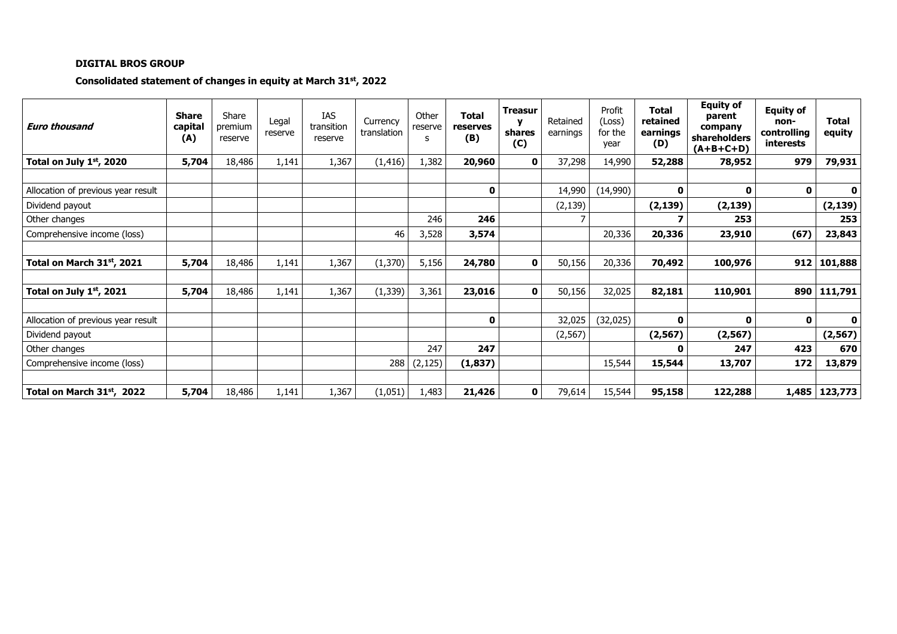## **Consolidated statement of changes in equity at March 31st, 2022**

| <b>Euro thousand</b>                   | <b>Share</b><br>capital<br>(A) | Share<br>premium<br>reserve | Legal<br>reserve | IAS<br>transition<br>reserve | Currency<br>translation | Other<br>reserve<br>s | <b>Total</b><br>reserves<br>(B) | <b>Treasur</b><br>shares<br>(C) | Retained<br>earnings | Profit<br>(Loss)<br>for the<br>year | <b>Total</b><br>retained<br>earnings<br>(D) | <b>Equity of</b><br>parent<br>company<br>shareholders<br>$(A+B+C+D)$ | <b>Equity of</b><br>non-<br>controlling<br>interests | <b>Total</b><br>equity |
|----------------------------------------|--------------------------------|-----------------------------|------------------|------------------------------|-------------------------|-----------------------|---------------------------------|---------------------------------|----------------------|-------------------------------------|---------------------------------------------|----------------------------------------------------------------------|------------------------------------------------------|------------------------|
| Total on July 1st, 2020                | 5,704                          | 18,486                      | 1,141            | 1,367                        | (1, 416)                | 1,382                 | 20,960                          | 0                               | 37,298               | 14,990                              | 52,288                                      | 78,952                                                               | 979                                                  | 79,931                 |
|                                        |                                |                             |                  |                              |                         |                       |                                 |                                 |                      |                                     |                                             |                                                                      |                                                      |                        |
| Allocation of previous year result     |                                |                             |                  |                              |                         |                       | 0                               |                                 | 14,990               | (14,990)                            | 0                                           | $\Omega$                                                             | $\mathbf 0$                                          | $\mathbf{0}$           |
| Dividend payout                        |                                |                             |                  |                              |                         |                       |                                 |                                 | (2, 139)             |                                     | (2, 139)                                    | (2, 139)                                                             |                                                      | (2, 139)               |
| Other changes                          |                                |                             |                  |                              |                         | 246                   | 246                             |                                 |                      |                                     |                                             | 253                                                                  |                                                      | 253                    |
| Comprehensive income (loss)            |                                |                             |                  |                              | 46                      | 3,528                 | 3,574                           |                                 |                      | 20,336                              | 20,336                                      | 23,910                                                               | (67)                                                 | 23,843                 |
|                                        |                                |                             |                  |                              |                         |                       |                                 |                                 |                      |                                     |                                             |                                                                      |                                                      |                        |
| Total on March 31st, 2021              | 5,704                          | 18,486                      | 1,141            | 1,367                        | (1, 370)                | 5,156                 | 24,780                          | 0                               | 50,156               | 20,336                              | 70,492                                      | 100,976                                                              | 912                                                  | 101,888                |
|                                        |                                |                             |                  |                              |                         |                       |                                 |                                 |                      |                                     |                                             |                                                                      |                                                      |                        |
| Total on July $1st$ , 2021             | 5,704                          | 18,486                      | 1,141            | 1,367                        | (1, 339)                | 3,361                 | 23,016                          | $\mathbf{0}$                    | 50,156               | 32,025                              | 82,181                                      | 110,901                                                              | 890                                                  | 111,791                |
|                                        |                                |                             |                  |                              |                         |                       |                                 |                                 |                      |                                     |                                             |                                                                      |                                                      |                        |
| Allocation of previous year result     |                                |                             |                  |                              |                         |                       | 0                               |                                 | 32,025               | (32, 025)                           | O                                           | $\Omega$                                                             | 0                                                    | $\mathbf{0}$           |
| Dividend payout                        |                                |                             |                  |                              |                         |                       |                                 |                                 | (2, 567)             |                                     | (2, 567)                                    | (2, 567)                                                             |                                                      | (2, 567)               |
| Other changes                          |                                |                             |                  |                              |                         | 247                   | 247                             |                                 |                      |                                     | 0                                           | 247                                                                  | 423                                                  | 670                    |
| Comprehensive income (loss)            |                                |                             |                  |                              | 288                     | (2, 125)              | (1, 837)                        |                                 |                      | 15,544                              | 15,544                                      | 13,707                                                               | 172                                                  | 13,879                 |
|                                        |                                |                             |                  |                              |                         |                       |                                 |                                 |                      |                                     |                                             |                                                                      |                                                      |                        |
| Total on March 31 <sup>st</sup> , 2022 | 5,704                          | 18,486                      | 1,141            | 1,367                        | (1,051)                 | 1,483                 | 21,426                          | 0                               | 79,614               | 15,544                              | 95,158                                      | 122,288                                                              |                                                      | 1,485   123,773        |